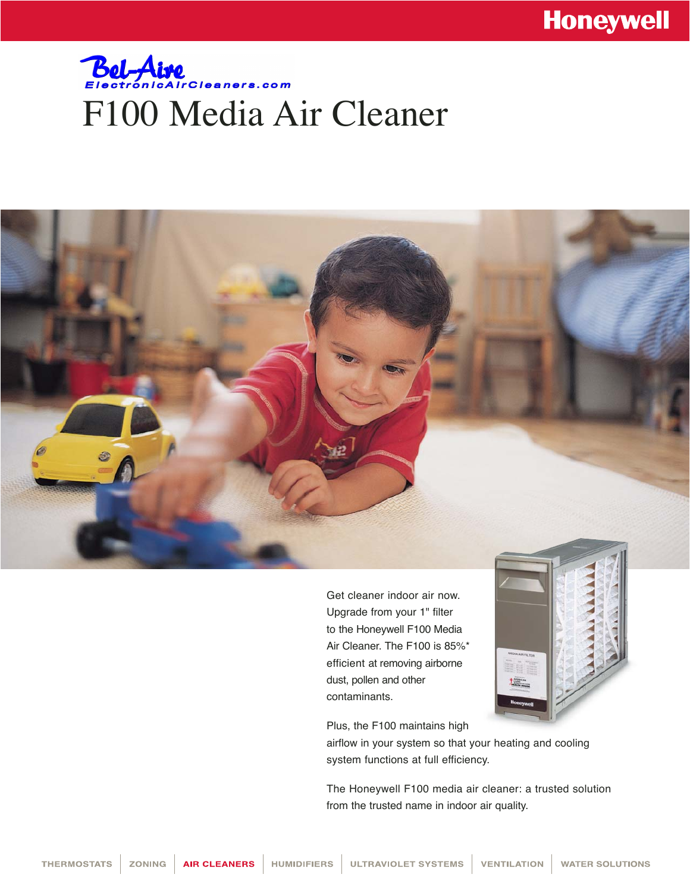## **Bel-Aire**<br>Electronical rCleaners.com F100 Media Air Cleaner



Get cleaner indoor air now. Upgrade from your 1" filter to the Honeywell F100 Media Air Cleaner. The F100 is 85%\* efficient at removing airborne dust, pollen and other contaminants.



Plus, the F100 maintains high

airflow in your system so that your heating and cooling system functions at full efficiency.

The Honeywell F100 media air cleaner: a trusted solution from the trusted name in indoor air quality.